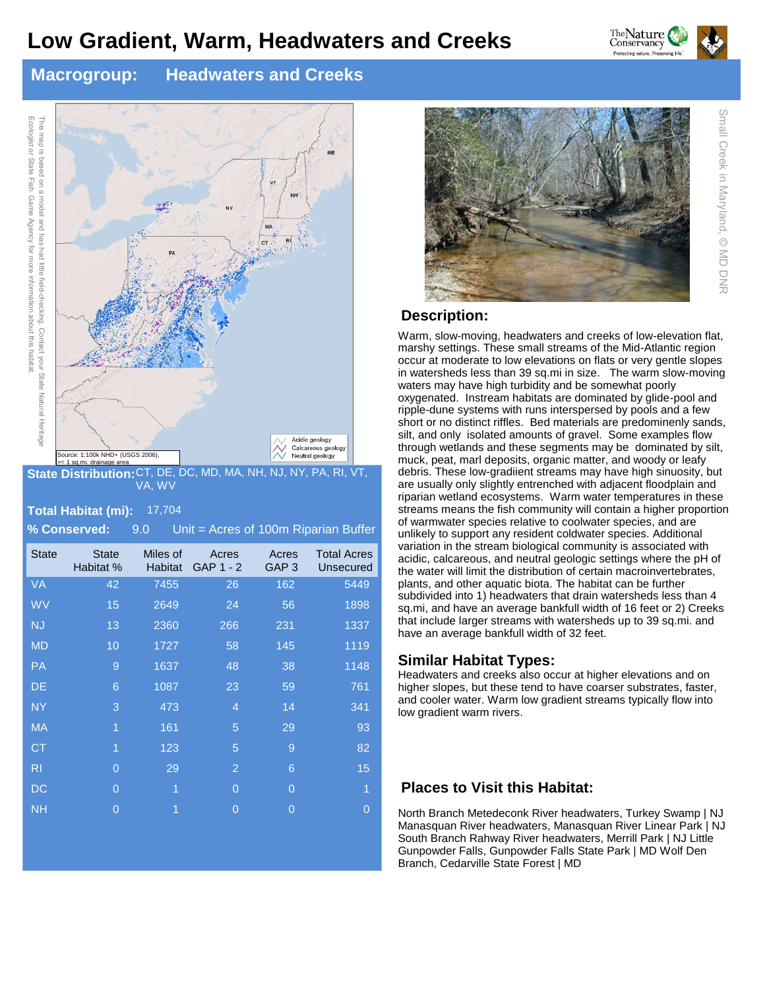# **Low Gradient, Warm, Headwaters and Creeks**



**Macrogroup: Headwaters and Creeks**





**State Distribution:** DE, DC, MD, MA, NH, NJ, NY, PA, RI, VT, VA, WV >= 1 sq.mi. drainage area

#### **Total Habitat (mi):**  17,704

| % Conserved: |                           | Unit = Acres of 100m Riparian Buffer<br>9.0 |                    |                |                                 |  |
|--------------|---------------------------|---------------------------------------------|--------------------|----------------|---------------------------------|--|
| <b>State</b> | <b>State</b><br>Habitat % | Miles of<br>Habitat                         | Acres<br>GAP 1 - 2 | Acres<br>GAP 3 | <b>Total Acres</b><br>Unsecured |  |
| <b>VA</b>    | 42                        | 7455                                        | 26                 | 162            | 5449                            |  |
| <b>WV</b>    | 15                        | 2649                                        | 24                 | 56             | 1898                            |  |
| <b>NJ</b>    | 13                        | 2360                                        | 266                | 231            | 1337                            |  |
| <b>MD</b>    | 10                        | 1727                                        | 58                 | 145            | 1119                            |  |
| <b>PA</b>    | 9                         | 1637                                        | 48                 | 38             | 1148                            |  |
| DE.          | 6                         | 1087                                        | 23                 | 59             | 761                             |  |
| <b>NY</b>    | 3                         | 473                                         | 4                  | 14             | 341                             |  |
| <b>MA</b>    | 1                         | 161                                         | 5                  | 29             | 93                              |  |
| <b>CT</b>    | 1                         | 123                                         | 5                  | 9              | 82                              |  |
| RI           | $\overline{0}$            | 29                                          | $\overline{c}$     | 6              | 15                              |  |
| DC           | $\overline{0}$            | 1                                           | $\overline{0}$     | $\overline{0}$ | 1                               |  |
| <b>NH</b>    | $\overline{0}$            |                                             | 0                  | 0              | 0                               |  |
|              |                           |                                             |                    |                |                                 |  |



#### **Description:**

Warm, slow-moving, headwaters and creeks of low-elevation flat, marshy settings. These small streams of the Mid-Atlantic region occur at moderate to low elevations on flats or very gentle slopes in watersheds less than 39 sq.mi in size. The warm slow-moving waters may have high turbidity and be somewhat poorly oxygenated. Instream habitats are dominated by glide-pool and ripple-dune systems with runs interspersed by pools and a few short or no distinct riffles. Bed materials are predominenly sands, silt, and only isolated amounts of gravel. Some examples flow through wetlands and these segments may be dominated by silt, muck, peat, marl deposits, organic matter, and woody or leafy debris. These low-gradiient streams may have high sinuosity, but are usually only slightly entrenched with adjacent floodplain and riparian wetland ecosystems. Warm water temperatures in these streams means the fish community will contain a higher proportion of warmwater species relative to coolwater species, and are unlikely to support any resident coldwater species. Additional variation in the stream biological community is associated with acidic, calcareous, and neutral geologic settings where the pH of the water will limit the distribution of certain macroinvertebrates, plants, and other aquatic biota. The habitat can be further subdivided into 1) headwaters that drain watersheds less than 4 sq.mi, and have an average bankfull width of 16 feet or 2) Creeks that include larger streams with watersheds up to 39 sq.mi. and have an average bankfull width of 32 feet.

#### **Similar Habitat Types:**

Headwaters and creeks also occur at higher elevations and on higher slopes, but these tend to have coarser substrates, faster, and cooler water. Warm low gradient streams typically flow into low gradient warm rivers.

#### **Places to Visit this Habitat:**

North Branch Metedeconk River headwaters, Turkey Swamp | NJ Manasquan River headwaters, Manasquan River Linear Park | NJ South Branch Rahway River headwaters, Merrill Park | NJ Little Gunpowder Falls, Gunpowder Falls State Park | MD Wolf Den Branch, Cedarville State Forest | MD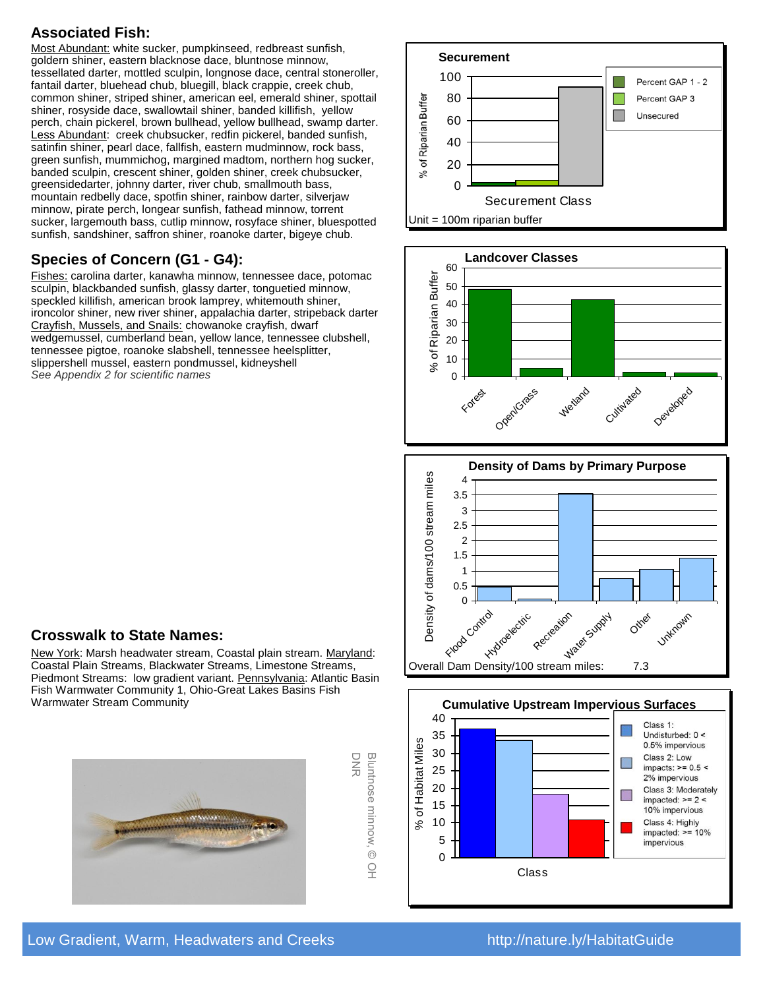Most Abundant: white sucker, pumpkinseed, redbreast sunfish, goldern shiner, eastern blacknose dace, bluntnose minnow, tessellated darter, mottled sculpin, longnose dace, central stoneroller, fantail darter, bluehead chub, bluegill, black crappie, creek chub, common shiner, striped shiner, american eel, emerald shiner, spottail shiner, rosyside dace, swallowtail shiner, banded killifish, yellow perch, chain pickerel, brown bullhead, yellow bullhead, swamp darter. Less Abundant: creek chubsucker, redfin pickerel, banded sunfish, satinfin shiner, pearl dace, fallfish, eastern mudminnow, rock bass, green sunfish, mummichog, margined madtom, northern hog sucker, banded sculpin, crescent shiner, golden shiner, creek chubsucker, greensidedarter, johnny darter, river chub, smallmouth bass, mountain redbelly dace, spotfin shiner, rainbow darter, silverjaw minnow, pirate perch, longear sunfish, fathead minnow, torrent sucker, largemouth bass, cutlip minnow, rosyface shiner, bluespotted sunfish, sandshiner, saffron shiner, roanoke darter, bigeye chub.

## **Species of Concern (G1 - G4):**

Fishes: carolina darter, kanawha minnow, tennessee dace, potomac sculpin, blackbanded sunfish, glassy darter, tonguetied minnow, speckled killifish, american brook lamprey, whitemouth shiner, ironcolor shiner, new river shiner, appalachia darter, stripeback darter Crayfish, Mussels, and Snails: chowanoke crayfish, dwarf wedgemussel, cumberland bean, yellow lance, tennessee clubshell, tennessee pigtoe, roanoke slabshell, tennessee heelsplitter, slippershell mussel, eastern pondmussel, kidneyshell *See Appendix 2 for scientific names*









#### **Crosswalk to State Names:**

New York: Marsh headwater stream, Coastal plain stream. Maryland: Coastal Plain Streams, Blackwater Streams, Limestone Streams, Piedmont Streams: low gradient variant. Pennsylvania: Atlantic Basin Fish Warmwater Community 1, Ohio-Great Lakes Basins Fish Warmwater Stream Community

DNR

Bluntnose minnow, © OH

 $\frac{Q}{L}$ 

Bluntnose minnow, ©

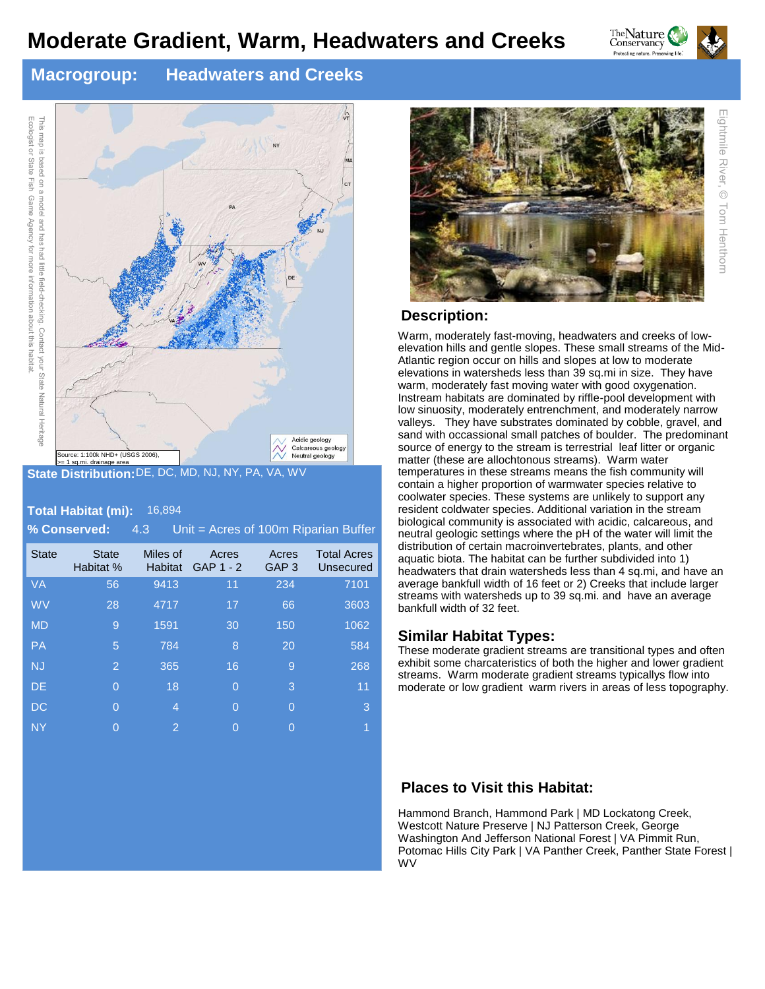# **Moderate Gradient, Warm, Headwaters and Creeks**



**Macrogroup: Headwaters and Creeks**



**State Distribution:** DE, DC, MD, NJ, NY, PA, VA, WV

#### **Total Habitat (mi):**  16,894

Ecologist or State Fish Game Agency for more information about this habitat.

| % Conserved: |                           | 4.3<br>Unit = $A$ cres of 100m Riparian Buffer |                    |                           |                                 |  |
|--------------|---------------------------|------------------------------------------------|--------------------|---------------------------|---------------------------------|--|
| <b>State</b> | <b>State</b><br>Habitat % | Miles of<br><b>Habitat</b>                     | Acres<br>GAP 1 - 2 | Acres<br>GAP <sub>3</sub> | <b>Total Acres</b><br>Unsecured |  |
| <b>VA</b>    | 56                        | 9413                                           | 11                 | 234                       | 7101                            |  |
| <b>WV</b>    | 28                        | 4717                                           | 17                 | 66                        | 3603                            |  |
| <b>MD</b>    | 9                         | 1591                                           | 30                 | 150                       | 1062                            |  |
| <b>PA</b>    | 5                         | 784                                            | 8                  | 20                        | 584                             |  |
| <b>NJ</b>    | 2                         | 365                                            | 16                 | 9                         | 268                             |  |
| <b>DE</b>    | $\overline{0}$            | 18                                             | $\overline{0}$     | 3                         | 11                              |  |
| <b>DC</b>    | $\overline{0}$            | 4                                              | $\overline{0}$     | 0                         | 3                               |  |
| <b>NY</b>    | $\overline{0}$            | $\overline{2}$                                 | $\overline{0}$     | $\Omega$                  | 1                               |  |
|              |                           |                                                |                    |                           |                                 |  |



#### **Description:**

Warm, moderately fast-moving, headwaters and creeks of lowelevation hills and gentle slopes. These small streams of the Mid-Atlantic region occur on hills and slopes at low to moderate elevations in watersheds less than 39 sq.mi in size. They have warm, moderately fast moving water with good oxygenation. Instream habitats are dominated by riffle-pool development with low sinuosity, moderately entrenchment, and moderately narrow valleys. They have substrates dominated by cobble, gravel, and sand with occassional small patches of boulder. The predominant source of energy to the stream is terrestrial leaf litter or organic matter (these are allochtonous streams). Warm water temperatures in these streams means the fish community will contain a higher proportion of warmwater species relative to coolwater species. These systems are unlikely to support any resident coldwater species. Additional variation in the stream biological community is associated with acidic, calcareous, and neutral geologic settings where the pH of the water will limit the distribution of certain macroinvertebrates, plants, and other aquatic biota. The habitat can be further subdivided into 1) headwaters that drain watersheds less than 4 sq.mi, and have an average bankfull width of 16 feet or 2) Creeks that include larger streams with watersheds up to 39 sq.mi. and have an average bankfull width of 32 feet.

#### **Similar Habitat Types:**

These moderate gradient streams are transitional types and often exhibit some charcateristics of both the higher and lower gradient streams. Warm moderate gradient streams typicallys flow into moderate or low gradient warm rivers in areas of less topography.

#### **Places to Visit this Habitat:**

Hammond Branch, Hammond Park | MD Lockatong Creek, Westcott Nature Preserve | NJ Patterson Creek, George Washington And Jefferson National Forest | VA Pimmit Run, Potomac Hills City Park | VA Panther Creek, Panther State Forest | WV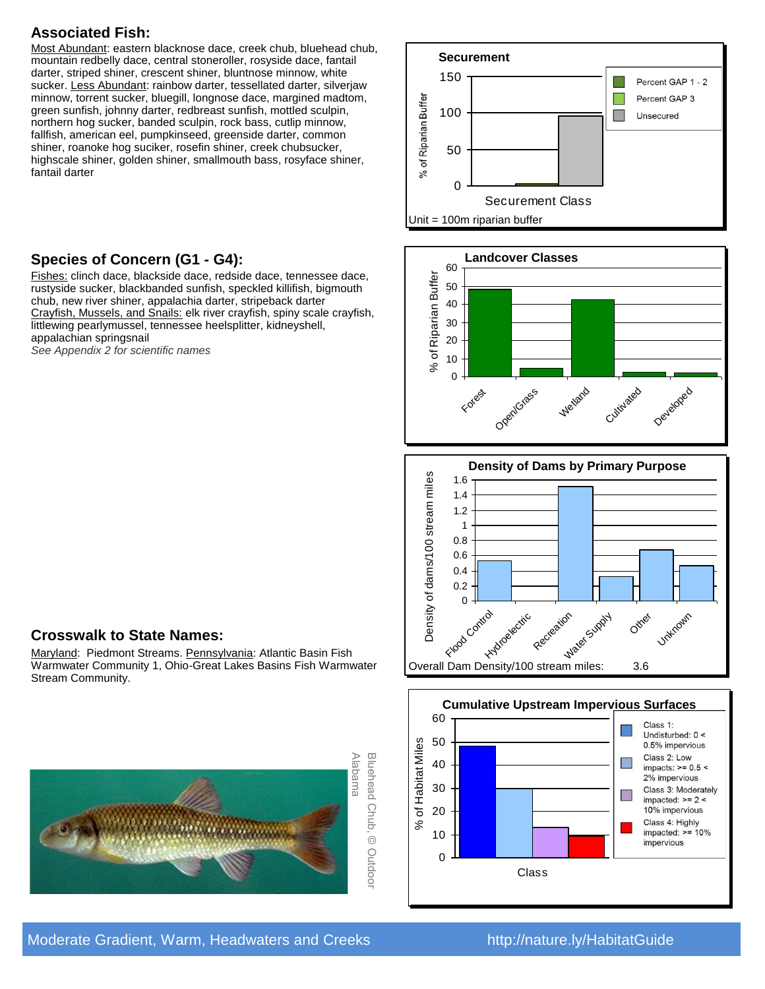Most Abundant: eastern blacknose dace, creek chub, bluehead chub, mountain redbelly dace, central stoneroller, rosyside dace, fantail darter, striped shiner, crescent shiner, bluntnose minnow, white sucker. Less Abundant: rainbow darter, tessellated darter, silverjaw minnow, torrent sucker, bluegill, longnose dace, margined madtom, green sunfish, johnny darter, redbreast sunfish, mottled sculpin, northern hog sucker, banded sculpin, rock bass, cutlip minnow, fallfish, american eel, pumpkinseed, greenside darter, common shiner, roanoke hog suciker, rosefin shiner, creek chubsucker, highscale shiner, golden shiner, smallmouth bass, rosyface shiner, fantail darter

#### **Species of Concern (G1 - G4):**

Fishes: clinch dace, blackside dace, redside dace, tennessee dace, rustyside sucker, blackbanded sunfish, speckled killifish, bigmouth chub, new river shiner, appalachia darter, stripeback darter Crayfish, Mussels, and Snails: elk river crayfish, spiny scale crayfish, littlewing pearlymussel, tennessee heelsplitter, kidneyshell, appalachian springsnail

*See Appendix 2 for scientific names*









#### **Crosswalk to State Names:**

Maryland: Piedmont Streams. Pennsylvania: Atlantic Basin Fish Warmwater Community 1, Ohio-Great Lakes Basins Fish Warmwater Stream Community.

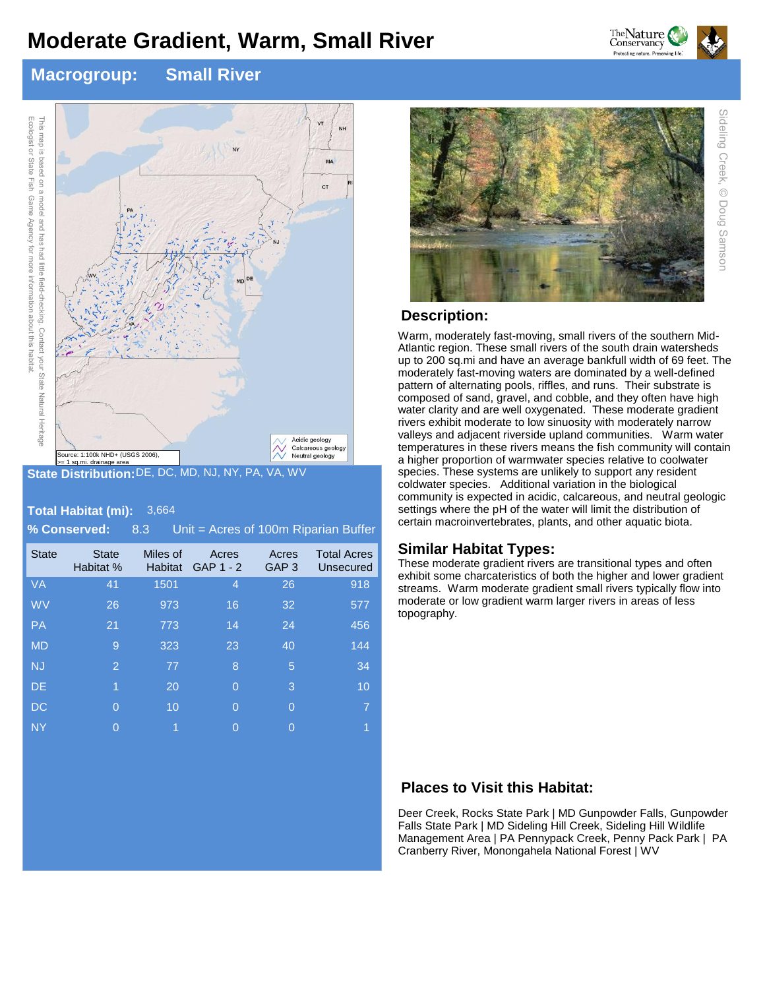# **Moderate Gradient, Warm, Small River**



## **Macrogroup: Small River**





**State Distribution:** DE, DC, MD, NJ, NY, PA, VA, WV

#### **Total Habitat (mi):**  3,664

| % Conserved: |                           | Unit = Acres of 100m Riparian Buffer<br>8.3 |                      |                           |                                 |  |
|--------------|---------------------------|---------------------------------------------|----------------------|---------------------------|---------------------------------|--|
| <b>State</b> | <b>State</b><br>Habitat % | Miles of<br><b>Habitat</b>                  | Acres<br>$GAP$ 1 - 2 | Acres<br>GAP <sub>3</sub> | <b>Total Acres</b><br>Unsecured |  |
| <b>VA</b>    | 41                        | 1501                                        | $\overline{4}$       | 26                        | 918                             |  |
| <b>WV</b>    | 26                        | 973                                         | 16                   | 32                        | 577                             |  |
| <b>PA</b>    | 21                        | 773                                         | 14                   | 24                        | 456                             |  |
| <b>MD</b>    | 9                         | 323                                         | 23                   | 40                        | 144                             |  |
| <b>NJ</b>    | $\overline{2}$            | 77                                          | 8                    | 5                         | 34                              |  |
| <b>DE</b>    | 1                         | 20                                          | $\overline{0}$       | 3                         | 10                              |  |
| DC           | $\overline{0}$            | 10                                          | $\overline{0}$       | $\Omega$                  | $\overline{7}$                  |  |
| <b>NY</b>    | $\overline{0}$            | 1                                           | $\overline{0}$       | $\overline{0}$            | 1                               |  |
|              |                           |                                             |                      |                           |                                 |  |



#### **Description:**

Warm, moderately fast-moving, small rivers of the southern Mid-Atlantic region. These small rivers of the south drain watersheds up to 200 sq.mi and have an average bankfull width of 69 feet. The moderately fast-moving waters are dominated by a well-defined pattern of alternating pools, riffles, and runs. Their substrate is composed of sand, gravel, and cobble, and they often have high water clarity and are well oxygenated. These moderate gradient rivers exhibit moderate to low sinuosity with moderately narrow valleys and adjacent riverside upland communities. Warm water temperatures in these rivers means the fish community will contain a higher proportion of warmwater species relative to coolwater species. These systems are unlikely to support any resident coldwater species. Additional variation in the biological community is expected in acidic, calcareous, and neutral geologic settings where the pH of the water will limit the distribution of certain macroinvertebrates, plants, and other aquatic biota.

#### **Similar Habitat Types:**

These moderate gradient rivers are transitional types and often exhibit some charcateristics of both the higher and lower gradient streams. Warm moderate gradient small rivers typically flow into moderate or low gradient warm larger rivers in areas of less topography.

#### **Places to Visit this Habitat:**

Deer Creek, Rocks State Park | MD Gunpowder Falls, Gunpowder Falls State Park | MD Sideling Hill Creek, Sideling Hill Wildlife Management Area | PA Pennypack Creek, Penny Pack Park | PA Cranberry River, Monongahela National Forest | WV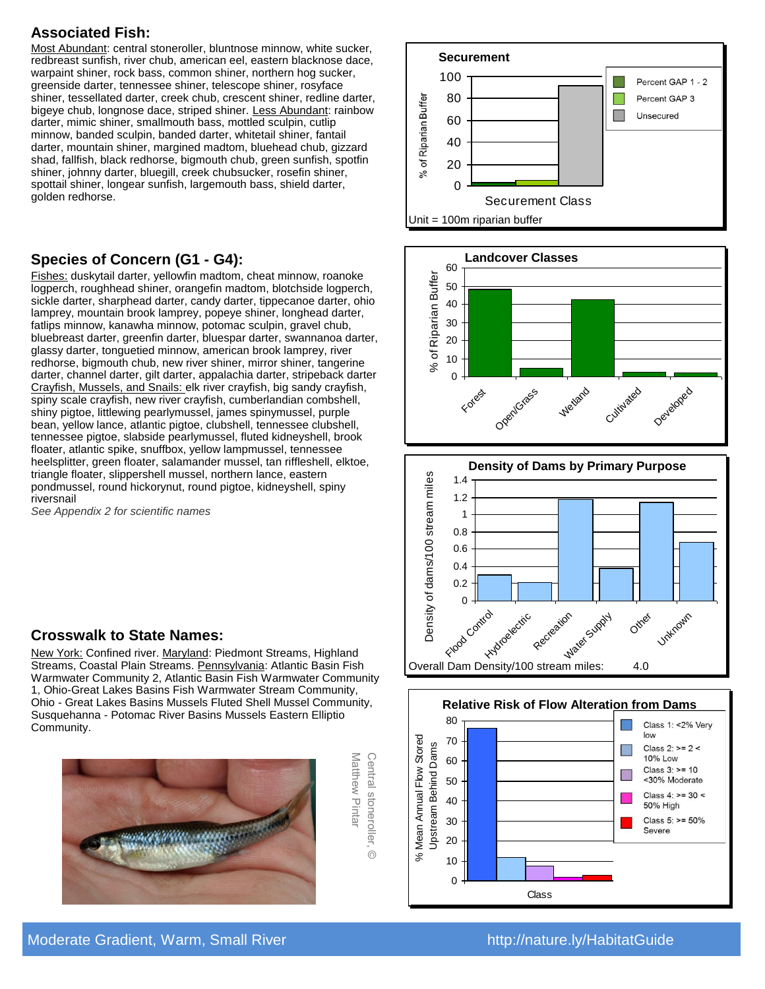Most Abundant: central stoneroller, bluntnose minnow, white sucker, redbreast sunfish, river chub, american eel, eastern blacknose dace, warpaint shiner, rock bass, common shiner, northern hog sucker, greenside darter, tennessee shiner, telescope shiner, rosyface shiner, tessellated darter, creek chub, crescent shiner, redline darter, bigeye chub, longnose dace, striped shiner. Less Abundant: rainbow darter, mimic shiner, smallmouth bass, mottled sculpin, cutlip minnow, banded sculpin, banded darter, whitetail shiner, fantail darter, mountain shiner, margined madtom, bluehead chub, gizzard shad, fallfish, black redhorse, bigmouth chub, green sunfish, spotfin shiner, johnny darter, bluegill, creek chubsucker, rosefin shiner, spottail shiner, longear sunfish, largemouth bass, shield darter, golden redhorse.

#### **Species of Concern (G1 - G4):**

Fishes: duskytail darter, yellowfin madtom, cheat minnow, roanoke logperch, roughhead shiner, orangefin madtom, blotchside logperch, sickle darter, sharphead darter, candy darter, tippecanoe darter, ohio lamprey, mountain brook lamprey, popeye shiner, longhead darter, fatlips minnow, kanawha minnow, potomac sculpin, gravel chub, bluebreast darter, greenfin darter, bluespar darter, swannanoa darter, glassy darter, tonguetied minnow, american brook lamprey, river redhorse, bigmouth chub, new river shiner, mirror shiner, tangerine darter, channel darter, gilt darter, appalachia darter, stripeback darter Crayfish, Mussels, and Snails: elk river crayfish, big sandy crayfish, spiny scale crayfish, new river crayfish, cumberlandian combshell, shiny pigtoe, littlewing pearlymussel, james spinymussel, purple bean, yellow lance, atlantic pigtoe, clubshell, tennessee clubshell, tennessee pigtoe, slabside pearlymussel, fluted kidneyshell, brook floater, atlantic spike, snuffbox, yellow lampmussel, tennessee heelsplitter, green floater, salamander mussel, tan riffleshell, elktoe, triangle floater, slippershell mussel, northern lance, eastern pondmussel, round hickorynut, round pigtoe, kidneyshell, spiny riversnail

*See Appendix 2 for scientific names*

#### **Crosswalk to State Names:**

New York: Confined river. Maryland: Piedmont Streams, Highland Streams, Coastal Plain Streams. Pennsylvania: Atlantic Basin Fish Warmwater Community 2, Atlantic Basin Fish Warmwater Community 1, Ohio-Great Lakes Basins Fish Warmwater Stream Community, Ohio - Great Lakes Basins Mussels Fluted Shell Mussel Community, Susquehanna - Potomac River Basins Mussels Eastern Elliptio Community.

> Matthew Pintar Central stoneroller, ©

 $\odot$ 

Matthew Pintar Central stoneroller,









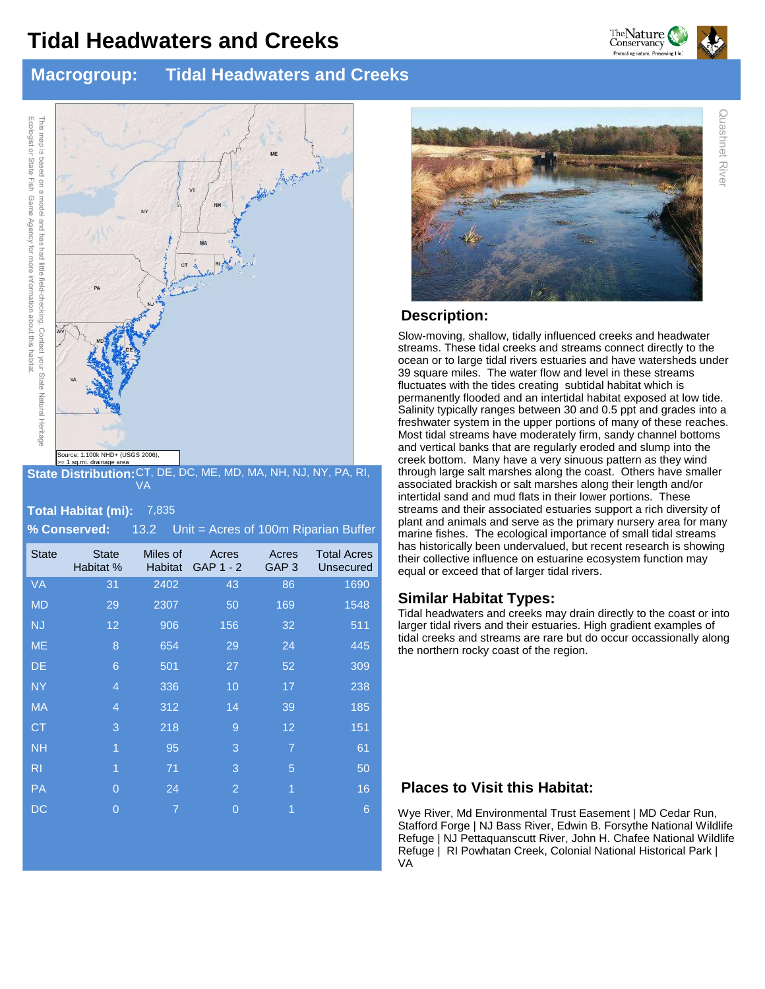## **Tidal Headwaters and Creeks**



## **Macrogroup: Tidal Headwaters and Creeks**





**State Distribution:** DE, DC, ME, MD, MA, NH, NJ, NY, PA, RI, VA

#### **Total Habitat (mi):**  7,835

| % Conserved: |                           | 13.2                |                    |                           | Unit = $A$ cres of 100m Riparian Buffer |
|--------------|---------------------------|---------------------|--------------------|---------------------------|-----------------------------------------|
| <b>State</b> | <b>State</b><br>Habitat % | Miles of<br>Habitat | Acres<br>GAP 1 - 2 | Acres<br>GAP <sub>3</sub> | <b>Total Acres</b><br>Unsecured         |
| VA           | 31                        | 2402                | 43                 | 86                        | 1690                                    |
| <b>MD</b>    | 29                        | 2307                | 50                 | 169                       | 1548                                    |
| <b>NJ</b>    | 12                        | 906                 | 156                | 32                        | 511                                     |
| <b>ME</b>    | 8                         | 654                 | 29                 | 24                        | 445                                     |
| DE.          | 6                         | 501                 | 27                 | 52                        | 309                                     |
| <b>NY</b>    | $\overline{4}$            | 336                 | 10                 | 17                        | 238                                     |
| <b>MA</b>    | $\overline{4}$            | 312                 | 14                 | 39                        | 185                                     |
| <b>CT</b>    | 3                         | 218                 | 9                  | 12                        | 151                                     |
| <b>NH</b>    | $\overline{1}$            | 95                  | 3                  | $\overline{7}$            | 61                                      |
| RI           | 1                         | 71                  | 3                  | 5                         | 50                                      |
| <b>PA</b>    | $\overline{0}$            | 24                  | $\overline{2}$     | 1                         | 16                                      |
| DC           | $\overline{0}$            | $\overline{7}$      | $\overline{0}$     | 1                         | 6                                       |
|              |                           |                     |                    |                           |                                         |



#### **Description:**

Slow-moving, shallow, tidally influenced creeks and headwater streams. These tidal creeks and streams connect directly to the ocean or to large tidal rivers estuaries and have watersheds under 39 square miles. The water flow and level in these streams fluctuates with the tides creating subtidal habitat which is permanently flooded and an intertidal habitat exposed at low tide. Salinity typically ranges between 30 and 0.5 ppt and grades into a freshwater system in the upper portions of many of these reaches. Most tidal streams have moderately firm, sandy channel bottoms and vertical banks that are regularly eroded and slump into the creek bottom. Many have a very sinuous pattern as they wind through large salt marshes along the coast. Others have smaller associated brackish or salt marshes along their length and/or intertidal sand and mud flats in their lower portions. These streams and their associated estuaries support a rich diversity of plant and animals and serve as the primary nursery area for many marine fishes. The ecological importance of small tidal streams has historically been undervalued, but recent research is showing their collective influence on estuarine ecosystem function may equal or exceed that of larger tidal rivers.

#### **Similar Habitat Types:**

Tidal headwaters and creeks may drain directly to the coast or into larger tidal rivers and their estuaries. High gradient examples of tidal creeks and streams are rare but do occur occassionally along the northern rocky coast of the region.

#### **Places to Visit this Habitat:**

Wye River, Md Environmental Trust Easement | MD Cedar Run, Stafford Forge | NJ Bass River, Edwin B. Forsythe National Wildlife Refuge | NJ Pettaquanscutt River, John H. Chafee National Wildlife Refuge | RI Powhatan Creek, Colonial National Historical Park | VA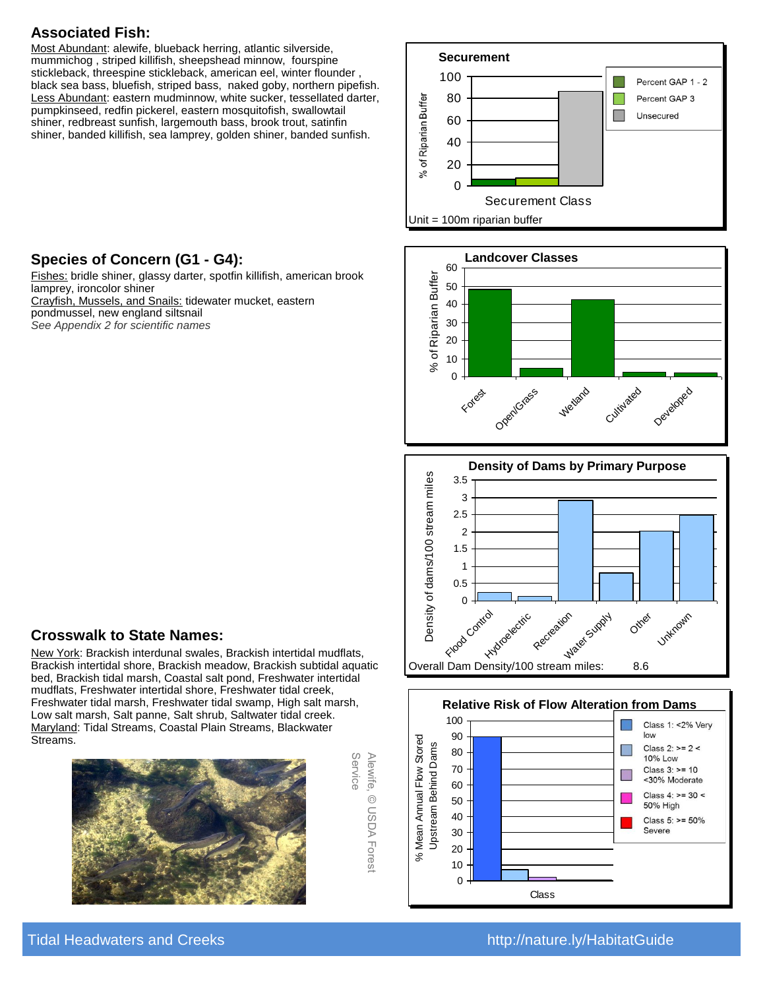Most Abundant: alewife, blueback herring, atlantic silverside, mummichog , striped killifish, sheepshead minnow, fourspine stickleback, threespine stickleback, american eel, winter flounder , black sea bass, bluefish, striped bass, naked goby, northern pipefish. Less Abundant: eastern mudminnow, white sucker, tessellated darter, pumpkinseed, redfin pickerel, eastern mosquitofish, swallowtail shiner, redbreast sunfish, largemouth bass, brook trout, satinfin shiner, banded killifish, sea lamprey, golden shiner, banded sunfish.









## **Species of Concern (G1 - G4):**

Fishes: bridle shiner, glassy darter, spotfin killifish, american brook lamprey, ironcolor shiner Crayfish, Mussels, and Snails: tidewater mucket, eastern pondmussel, new england siltsnail *See Appendix 2 for scientific names*

#### **Crosswalk to State Names:**

New York: Brackish interdunal swales, Brackish intertidal mudflats, Brackish intertidal shore, Brackish meadow, Brackish subtidal aquatic bed, Brackish tidal marsh, Coastal salt pond, Freshwater intertidal mudflats, Freshwater intertidal shore, Freshwater tidal creek, Freshwater tidal marsh, Freshwater tidal swamp, High salt marsh, Low salt marsh, Salt panne, Salt shrub, Saltwater tidal creek. Maryland: Tidal Streams, Coastal Plain Streams, Blackwater Streams.



Service Alewife, © USDA Forest Alewife, © USDA Forest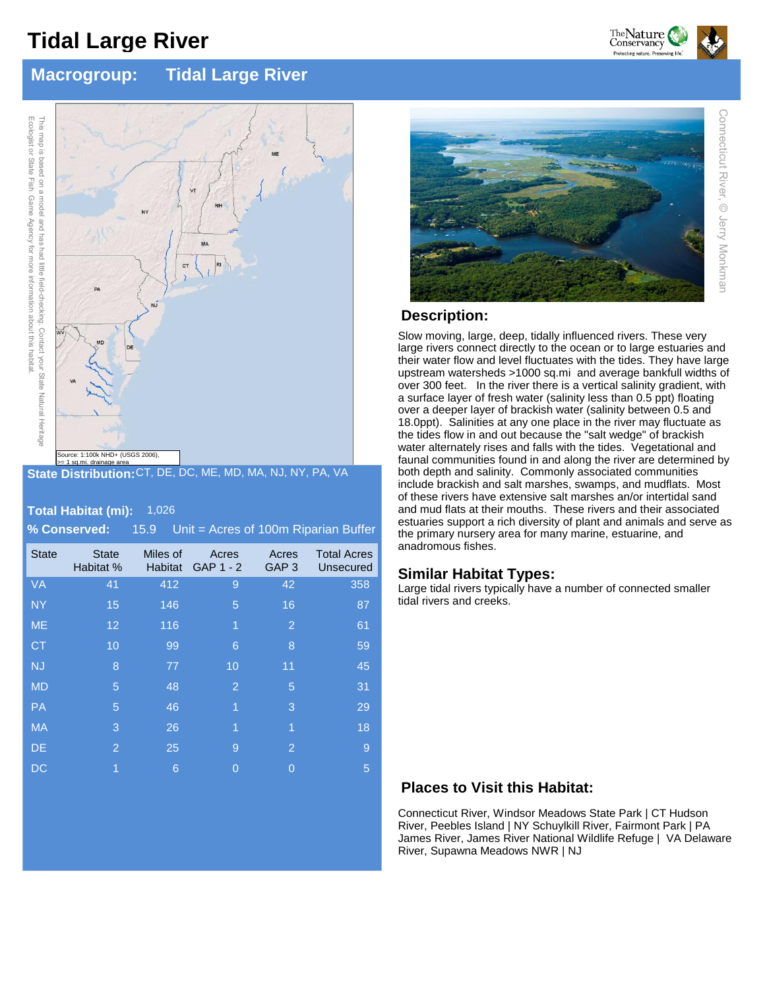# **Tidal Large River**



#### **Macrogroup: Tidal Large River**





**State Distribution:** CT, DE, DC, ME, MD, MA, NJ, NY, PA, VA

#### **Total Habitat (mi):**  1,026

|              | % Conserved:              | 15.9                       | Unit = Acres of 100m Riparian Buffer |                           |                                 |
|--------------|---------------------------|----------------------------|--------------------------------------|---------------------------|---------------------------------|
| <b>State</b> | <b>State</b><br>Habitat % | Miles of<br><b>Habitat</b> | Acres<br>GAP 1 - 2                   | Acres<br>GAP <sub>3</sub> | <b>Total Acres</b><br>Unsecured |
| <b>VA</b>    | 41                        | 412                        | 9                                    | 42                        | 358                             |
| <b>NY</b>    | 15                        | 146                        | 5                                    | 16                        | 87                              |
| <b>ME</b>    | 12                        | 116                        | 1                                    | 2                         | 61                              |
| <b>CT</b>    | 10                        | 99                         | 6                                    | 8                         | 59                              |
| <b>NJ</b>    | 8                         | 77                         | 10                                   | 11                        | 45                              |
| <b>MD</b>    | 5                         | 48                         | $\overline{2}$                       | 5                         | 31                              |
| <b>PA</b>    | 5                         | 46                         | 1                                    | 3                         | 29                              |
| <b>MA</b>    | 3                         | 26                         | 1                                    | 1                         | 18                              |
| <b>DE</b>    | 2                         | 25                         | 9                                    | $\overline{2}$            | 9                               |
| DC           | 1                         | 6                          | $\overline{0}$                       | $\overline{0}$            | 5                               |

#### **Description:**

Slow moving, large, deep, tidally influenced rivers. These very large rivers connect directly to the ocean or to large estuaries and their water flow and level fluctuates with the tides. They have large upstream watersheds >1000 sq.mi and average bankfull widths of over 300 feet. In the river there is a vertical salinity gradient, with a surface layer of fresh water (salinity less than 0.5 ppt) floating over a deeper layer of brackish water (salinity between 0.5 and 18.0ppt). Salinities at any one place in the river may fluctuate as the tides flow in and out because the "salt wedge" of brackish water alternately rises and falls with the tides. Vegetational and faunal communities found in and along the river are determined by both depth and salinity. Commonly associated communities include brackish and salt marshes, swamps, and mudflats. Most of these rivers have extensive salt marshes an/or intertidal sand and mud flats at their mouths. These rivers and their associated estuaries support a rich diversity of plant and animals and serve as the primary nursery area for many marine, estuarine, and anadromous fishes.

#### **Similar Habitat Types:**

Large tidal rivers typically have a number of connected smaller tidal rivers and creeks.

#### **Places to Visit this Habitat:**

Connecticut River, Windsor Meadows State Park | CT Hudson River, Peebles Island | NY Schuylkill River, Fairmont Park | PA James River, James River National Wildlife Refuge | VA Delaware River, Supawna Meadows NWR | NJ



Connecticut River, © Jerry Monkman

Connecticut River, © Jerry Monkman